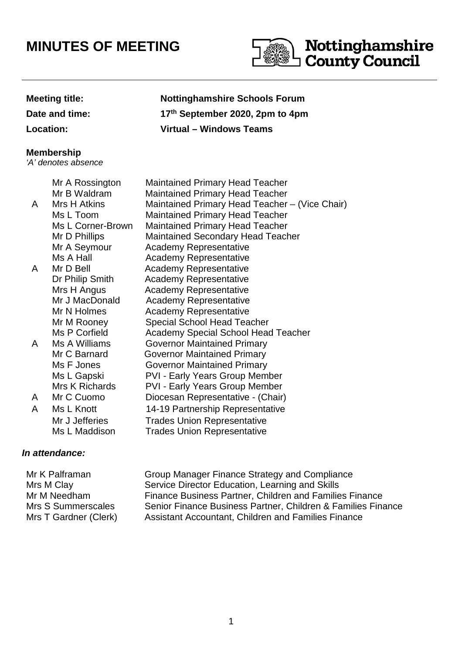# **MINUTES OF MEETING**



**Date and time: 17**

## **Meeting title: Nottinghamshire Schools Forum th September 2020, 2pm to 4pm Location: Virtual – Windows Teams**

#### **Membership**

'A' denotes absence

|   | Mr A Rossington   | <b>Maintained Primary Head Teacher</b>         |
|---|-------------------|------------------------------------------------|
|   | Mr B Waldram      | <b>Maintained Primary Head Teacher</b>         |
| A | Mrs H Atkins      | Maintained Primary Head Teacher - (Vice Chair) |
|   | Ms L Toom         | <b>Maintained Primary Head Teacher</b>         |
|   | Ms L Corner-Brown | <b>Maintained Primary Head Teacher</b>         |
|   | Mr D Phillips     | <b>Maintained Secondary Head Teacher</b>       |
|   | Mr A Seymour      | <b>Academy Representative</b>                  |
|   | Ms A Hall         | <b>Academy Representative</b>                  |
| A | Mr D Bell         | <b>Academy Representative</b>                  |
|   | Dr Philip Smith   | <b>Academy Representative</b>                  |
|   | Mrs H Angus       | <b>Academy Representative</b>                  |
|   | Mr J MacDonald    | <b>Academy Representative</b>                  |
|   | Mr N Holmes       | <b>Academy Representative</b>                  |
|   | Mr M Rooney       | <b>Special School Head Teacher</b>             |
|   | Ms P Corfield     | <b>Academy Special School Head Teacher</b>     |
| A | Ms A Williams     | <b>Governor Maintained Primary</b>             |
|   | Mr C Barnard      | <b>Governor Maintained Primary</b>             |
|   | Ms F Jones        | <b>Governor Maintained Primary</b>             |
|   | Ms L Gapski       | <b>PVI - Early Years Group Member</b>          |
|   | Mrs K Richards    | <b>PVI - Early Years Group Member</b>          |
| A | Mr C Cuomo        | Diocesan Representative - (Chair)              |
| A | Ms L Knott        | 14-19 Partnership Representative               |
|   | Mr J Jefferies    | <b>Trades Union Representative</b>             |
|   | Ms L Maddison     | <b>Trades Union Representative</b>             |
|   |                   |                                                |

### **In attendance:**

Mr K Palframan Group Manager Finance Strategy and Compliance Mrs M Clay Service Director Education, Learning and Skills Mr M Needham Finance Business Partner, Children and Families Finance Mrs S Summerscales Senior Finance Business Partner, Children & Families Finance Mrs T Gardner (Clerk) Assistant Accountant, Children and Families Finance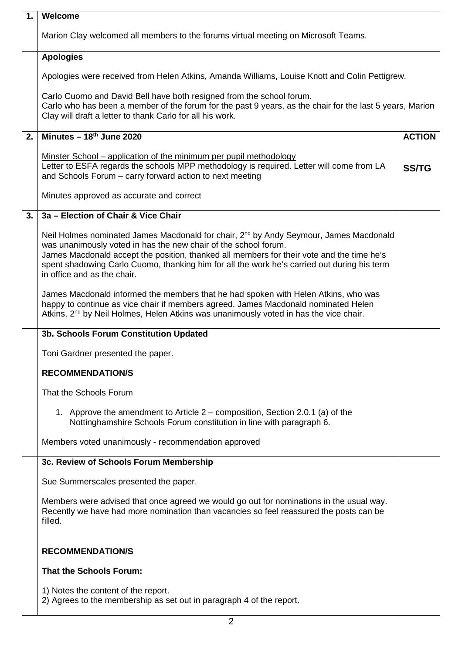| $\mathbf{1}$ . | Welcome                                                                                                                                                                                                                                                                                                                                                                                         |               |
|----------------|-------------------------------------------------------------------------------------------------------------------------------------------------------------------------------------------------------------------------------------------------------------------------------------------------------------------------------------------------------------------------------------------------|---------------|
|                | Marion Clay welcomed all members to the forums virtual meeting on Microsoft Teams.                                                                                                                                                                                                                                                                                                              |               |
|                | <b>Apologies</b>                                                                                                                                                                                                                                                                                                                                                                                |               |
|                | Apologies were received from Helen Atkins, Amanda Williams, Louise Knott and Colin Pettigrew.                                                                                                                                                                                                                                                                                                   |               |
|                | Carlo Cuomo and David Bell have both resigned from the school forum.<br>Carlo who has been a member of the forum for the past 9 years, as the chair for the last 5 years, Marion<br>Clay will draft a letter to thank Carlo for all his work.                                                                                                                                                   |               |
| 2.             | Minutes $-18th$ June 2020                                                                                                                                                                                                                                                                                                                                                                       | <b>ACTION</b> |
|                | <u>Minster School – application of the minimum per pupil methodology</u><br>Letter to ESFA regards the schools MPP methodology is required. Letter will come from LA<br>and Schools Forum – carry forward action to next meeting                                                                                                                                                                | <b>SS/TG</b>  |
|                | Minutes approved as accurate and correct                                                                                                                                                                                                                                                                                                                                                        |               |
| 3.             | 3a - Election of Chair & Vice Chair                                                                                                                                                                                                                                                                                                                                                             |               |
|                | Neil Holmes nominated James Macdonald for chair, 2 <sup>nd</sup> by Andy Seymour, James Macdonald<br>was unanimously voted in has the new chair of the school forum.<br>James Macdonald accept the position, thanked all members for their vote and the time he's<br>spent shadowing Carlo Cuomo, thanking him for all the work he's carried out during his term<br>in office and as the chair. |               |
|                | James Macdonald informed the members that he had spoken with Helen Atkins, who was<br>happy to continue as vice chair if members agreed. James Macdonald nominated Helen<br>Atkins, 2 <sup>nd</sup> by Neil Holmes, Helen Atkins was unanimously voted in has the vice chair.                                                                                                                   |               |
|                | 3b. Schools Forum Constitution Updated                                                                                                                                                                                                                                                                                                                                                          |               |
|                | Toni Gardner presented the paper.                                                                                                                                                                                                                                                                                                                                                               |               |
|                | <b>RECOMMENDATION/S</b>                                                                                                                                                                                                                                                                                                                                                                         |               |
|                | That the Schools Forum                                                                                                                                                                                                                                                                                                                                                                          |               |
|                | 1. Approve the amendment to Article 2 - composition, Section 2.0.1 (a) of the<br>Nottinghamshire Schools Forum constitution in line with paragraph 6.                                                                                                                                                                                                                                           |               |
|                | Members voted unanimously - recommendation approved                                                                                                                                                                                                                                                                                                                                             |               |
|                | 3c. Review of Schools Forum Membership                                                                                                                                                                                                                                                                                                                                                          |               |
|                | Sue Summerscales presented the paper.                                                                                                                                                                                                                                                                                                                                                           |               |
|                | Members were advised that once agreed we would go out for nominations in the usual way.<br>Recently we have had more nomination than vacancies so feel reassured the posts can be<br>filled.                                                                                                                                                                                                    |               |
|                | <b>RECOMMENDATION/S</b>                                                                                                                                                                                                                                                                                                                                                                         |               |
|                | <b>That the Schools Forum:</b>                                                                                                                                                                                                                                                                                                                                                                  |               |
|                | 1) Notes the content of the report.<br>2) Agrees to the membership as set out in paragraph 4 of the report.                                                                                                                                                                                                                                                                                     |               |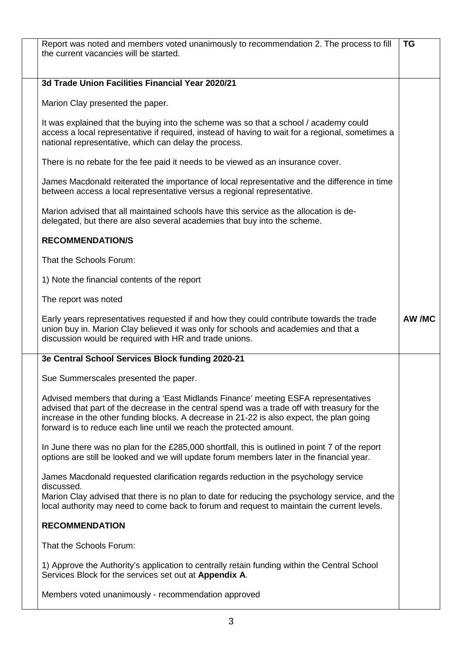| Report was noted and members voted unanimously to recommendation 2. The process to fill<br>the current vacancies will be started.                                                                                                                                                                                                                     | <b>TG</b> |
|-------------------------------------------------------------------------------------------------------------------------------------------------------------------------------------------------------------------------------------------------------------------------------------------------------------------------------------------------------|-----------|
| 3d Trade Union Facilities Financial Year 2020/21                                                                                                                                                                                                                                                                                                      |           |
| Marion Clay presented the paper.                                                                                                                                                                                                                                                                                                                      |           |
| It was explained that the buying into the scheme was so that a school / academy could<br>access a local representative if required, instead of having to wait for a regional, sometimes a<br>national representative, which can delay the process.                                                                                                    |           |
| There is no rebate for the fee paid it needs to be viewed as an insurance cover.                                                                                                                                                                                                                                                                      |           |
| James Macdonald reiterated the importance of local representative and the difference in time<br>between access a local representative versus a regional representative.                                                                                                                                                                               |           |
| Marion advised that all maintained schools have this service as the allocation is de-<br>delegated, but there are also several academies that buy into the scheme.                                                                                                                                                                                    |           |
| <b>RECOMMENDATION/S</b>                                                                                                                                                                                                                                                                                                                               |           |
| That the Schools Forum:                                                                                                                                                                                                                                                                                                                               |           |
| 1) Note the financial contents of the report                                                                                                                                                                                                                                                                                                          |           |
| The report was noted                                                                                                                                                                                                                                                                                                                                  |           |
| Early years representatives requested if and how they could contribute towards the trade<br>union buy in. Marion Clay believed it was only for schools and academies and that a<br>discussion would be required with HR and trade unions.                                                                                                             | AW /MC    |
| 3e Central School Services Block funding 2020-21                                                                                                                                                                                                                                                                                                      |           |
| Sue Summerscales presented the paper.                                                                                                                                                                                                                                                                                                                 |           |
| Advised members that during a 'East Midlands Finance' meeting ESFA representatives<br>advised that part of the decrease in the central spend was a trade off with treasury for the<br>increase in the other funding blocks. A decrease in 21-22 is also expect, the plan going<br>forward is to reduce each line until we reach the protected amount. |           |
| In June there was no plan for the £285,000 shortfall, this is outlined in point 7 of the report                                                                                                                                                                                                                                                       |           |
| options are still be looked and we will update forum members later in the financial year.                                                                                                                                                                                                                                                             |           |
| James Macdonald requested clarification regards reduction in the psychology service                                                                                                                                                                                                                                                                   |           |
| discussed.<br>Marion Clay advised that there is no plan to date for reducing the psychology service, and the<br>local authority may need to come back to forum and request to maintain the current levels.                                                                                                                                            |           |
| <b>RECOMMENDATION</b>                                                                                                                                                                                                                                                                                                                                 |           |
| That the Schools Forum:                                                                                                                                                                                                                                                                                                                               |           |
| 1) Approve the Authority's application to centrally retain funding within the Central School<br>Services Block for the services set out at Appendix A.                                                                                                                                                                                                |           |
| Members voted unanimously - recommendation approved                                                                                                                                                                                                                                                                                                   |           |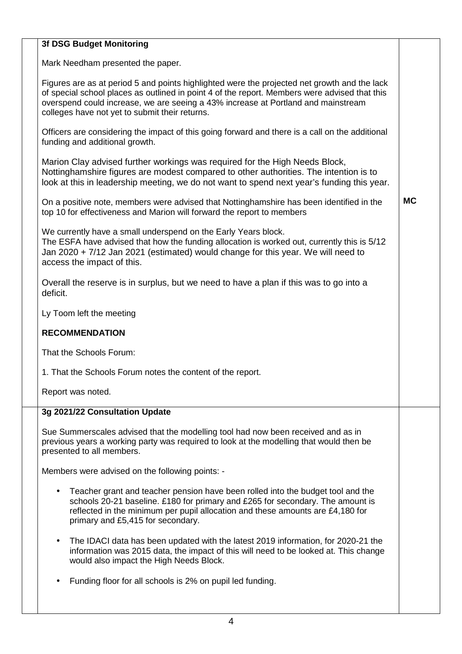#### **3f DSG Budget Monitoring**

Mark Needham presented the paper.

Figures are as at period 5 and points highlighted were the projected net growth and the lack of special school places as outlined in point 4 of the report. Members were advised that this overspend could increase, we are seeing a 43% increase at Portland and mainstream colleges have not yet to submit their returns.

Officers are considering the impact of this going forward and there is a call on the additional funding and additional growth.

Marion Clay advised further workings was required for the High Needs Block, Nottinghamshire figures are modest compared to other authorities. The intention is to look at this in leadership meeting, we do not want to spend next year's funding this year.

On a positive note, members were advised that Nottinghamshire has been identified in the top 10 for effectiveness and Marion will forward the report to members

**MC**

We currently have a small underspend on the Early Years block. The ESFA have advised that how the funding allocation is worked out, currently this is 5/12 Jan 2020 + 7/12 Jan 2021 (estimated) would change for this year. We will need to access the impact of this.

Overall the reserve is in surplus, but we need to have a plan if this was to go into a deficit.

Ly Toom left the meeting

#### **RECOMMENDATION**

That the Schools Forum:

1. That the Schools Forum notes the content of the report.

Report was noted.

#### **3g 2021/22 Consultation Update**

Sue Summerscales advised that the modelling tool had now been received and as in previous years a working party was required to look at the modelling that would then be presented to all members.

Members were advised on the following points: -

- Teacher grant and teacher pension have been rolled into the budget tool and the schools 20-21 baseline. £180 for primary and £265 for secondary. The amount is reflected in the minimum per pupil allocation and these amounts are £4,180 for primary and £5,415 for secondary.
- The IDACI data has been updated with the latest 2019 information, for 2020-21 the information was 2015 data, the impact of this will need to be looked at. This change would also impact the High Needs Block.
- Funding floor for all schools is 2% on pupil led funding.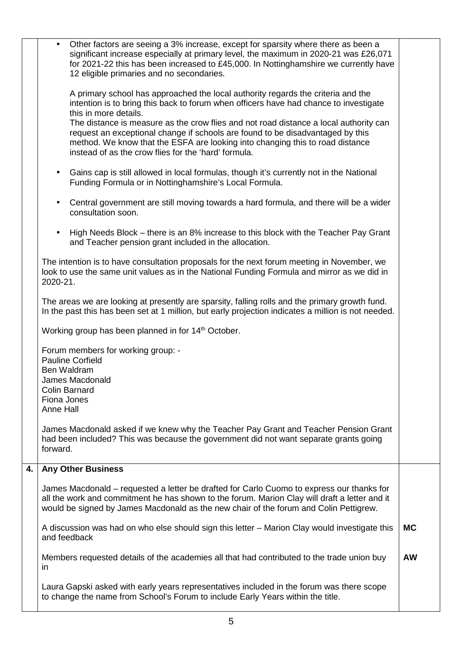|    | Other factors are seeing a 3% increase, except for sparsity where there as been a<br>significant increase especially at primary level, the maximum in 2020-21 was £26,071<br>for 2021-22 this has been increased to £45,000. In Nottinghamshire we currently have<br>12 eligible primaries and no secondaries.   |           |
|----|------------------------------------------------------------------------------------------------------------------------------------------------------------------------------------------------------------------------------------------------------------------------------------------------------------------|-----------|
|    | A primary school has approached the local authority regards the criteria and the<br>intention is to bring this back to forum when officers have had chance to investigate<br>this in more details.                                                                                                               |           |
|    | The distance is measure as the crow flies and not road distance a local authority can<br>request an exceptional change if schools are found to be disadvantaged by this<br>method. We know that the ESFA are looking into changing this to road distance<br>instead of as the crow flies for the 'hard' formula. |           |
|    | Gains cap is still allowed in local formulas, though it's currently not in the National<br>$\bullet$<br>Funding Formula or in Nottinghamshire's Local Formula.                                                                                                                                                   |           |
|    | Central government are still moving towards a hard formula, and there will be a wider<br>$\bullet$<br>consultation soon.                                                                                                                                                                                         |           |
|    | High Needs Block – there is an 8% increase to this block with the Teacher Pay Grant<br>$\bullet$<br>and Teacher pension grant included in the allocation.                                                                                                                                                        |           |
|    | The intention is to have consultation proposals for the next forum meeting in November, we<br>look to use the same unit values as in the National Funding Formula and mirror as we did in<br>2020-21.                                                                                                            |           |
|    | The areas we are looking at presently are sparsity, falling rolls and the primary growth fund.<br>In the past this has been set at 1 million, but early projection indicates a million is not needed.                                                                                                            |           |
|    | Working group has been planned in for 14 <sup>th</sup> October.                                                                                                                                                                                                                                                  |           |
|    | Forum members for working group: -<br><b>Pauline Corfield</b><br>Ben Waldram<br>James Macdonald<br><b>Colin Barnard</b><br>Fiona Jones<br>Anne Hall                                                                                                                                                              |           |
|    | James Macdonald asked if we knew why the Teacher Pay Grant and Teacher Pension Grant<br>had been included? This was because the government did not want separate grants going<br>forward.                                                                                                                        |           |
| 4. | <b>Any Other Business</b>                                                                                                                                                                                                                                                                                        |           |
|    | James Macdonald - requested a letter be drafted for Carlo Cuomo to express our thanks for<br>all the work and commitment he has shown to the forum. Marion Clay will draft a letter and it<br>would be signed by James Macdonald as the new chair of the forum and Colin Pettigrew.                              |           |
|    | A discussion was had on who else should sign this letter – Marion Clay would investigate this<br>and feedback                                                                                                                                                                                                    | <b>MC</b> |
|    | Members requested details of the academies all that had contributed to the trade union buy<br>$\mathsf{I}$                                                                                                                                                                                                       | <b>AW</b> |
|    | Laura Gapski asked with early years representatives included in the forum was there scope<br>to change the name from School's Forum to include Early Years within the title.                                                                                                                                     |           |